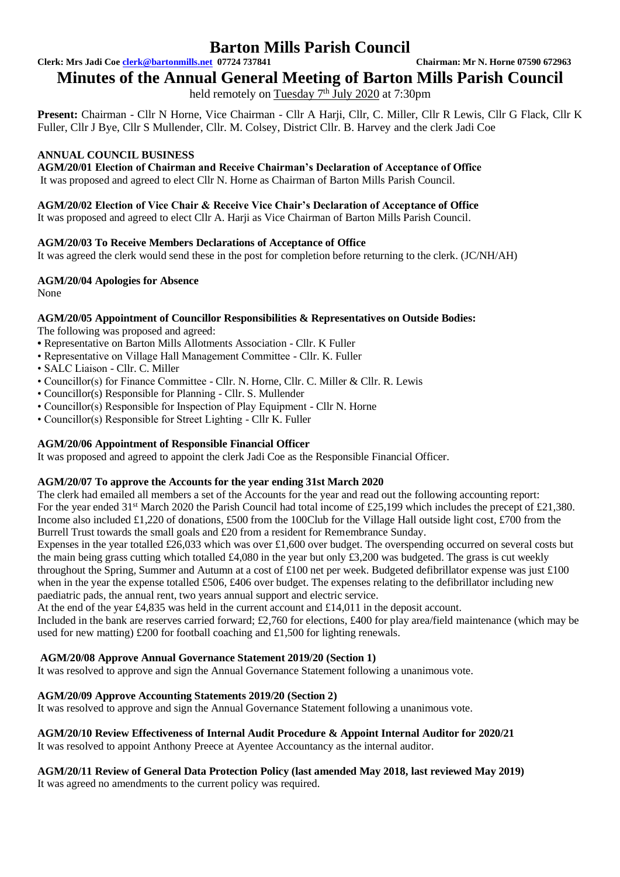**Clerk: Mrs Jadi Coe [clerk@bartonmills.net](mailto:clerk@bartonmills.net) 07724 737841 Chairman: Mr N. Horne 07590 672963**

**Minutes of the Annual General Meeting of Barton Mills Parish Council**

held remotely on Tuesday 7<sup>th</sup> July 2020 at 7:30pm

**Present:** Chairman - Cllr N Horne, Vice Chairman - Cllr A Harji, Cllr, C. Miller, Cllr R Lewis, Cllr G Flack, Cllr K Fuller, Cllr J Bye, Cllr S Mullender, Cllr. M. Colsey, District Cllr. B. Harvey and the clerk Jadi Coe

#### **ANNUAL COUNCIL BUSINESS**

**AGM/20/01 Election of Chairman and Receive Chairman's Declaration of Acceptance of Office**  It was proposed and agreed to elect Cllr N. Horne as Chairman of Barton Mills Parish Council.

#### **AGM/20/02 Election of Vice Chair & Receive Vice Chair's Declaration of Acceptance of Office**

It was proposed and agreed to elect Cllr A. Harji as Vice Chairman of Barton Mills Parish Council.

#### **AGM/20/03 To Receive Members Declarations of Acceptance of Office**

It was agreed the clerk would send these in the post for completion before returning to the clerk. (JC/NH/AH)

**AGM/20/04 Apologies for Absence** 

None

#### **AGM/20/05 Appointment of Councillor Responsibilities & Representatives on Outside Bodies:**

The following was proposed and agreed:

- Representative on Barton Mills Allotments Association Cllr. K Fuller
- Representative on Village Hall Management Committee Cllr. K. Fuller
- SALC Liaison Cllr. C. Miller
- Councillor(s) for Finance Committee Cllr. N. Horne, Cllr. C. Miller & Cllr. R. Lewis
- Councillor(s) Responsible for Planning Cllr. S. Mullender
- Councillor(s) Responsible for Inspection of Play Equipment Cllr N. Horne
- Councillor(s) Responsible for Street Lighting Cllr K. Fuller

#### **AGM/20/06 Appointment of Responsible Financial Officer**

It was proposed and agreed to appoint the clerk Jadi Coe as the Responsible Financial Officer.

#### **AGM/20/07 To approve the Accounts for the year ending 31st March 2020**

The clerk had emailed all members a set of the Accounts for the year and read out the following accounting report: For the year ended 31<sup>st</sup> March 2020 the Parish Council had total income of £25,199 which includes the precept of £21,380. Income also included £1,220 of donations, £500 from the 100Club for the Village Hall outside light cost, £700 from the Burrell Trust towards the small goals and £20 from a resident for Remembrance Sunday.

Expenses in the year totalled £26,033 which was over £1,600 over budget. The overspending occurred on several costs but the main being grass cutting which totalled £4,080 in the year but only £3,200 was budgeted. The grass is cut weekly throughout the Spring, Summer and Autumn at a cost of £100 net per week. Budgeted defibrillator expense was just £100 when in the year the expense totalled £506, £406 over budget. The expenses relating to the defibrillator including new paediatric pads, the annual rent, two years annual support and electric service.

At the end of the year £4,835 was held in the current account and  $\text{\pounds}14,011$  in the deposit account.

Included in the bank are reserves carried forward; £2,760 for elections, £400 for play area/field maintenance (which may be used for new matting) £200 for football coaching and £1,500 for lighting renewals.

#### **AGM/20/08 Approve Annual Governance Statement 2019/20 (Section 1)**

It was resolved to approve and sign the Annual Governance Statement following a unanimous vote.

#### **AGM/20/09 Approve Accounting Statements 2019/20 (Section 2)**

It was resolved to approve and sign the Annual Governance Statement following a unanimous vote.

#### **AGM/20/10 Review Effectiveness of Internal Audit Procedure & Appoint Internal Auditor for 2020/21**

It was resolved to appoint Anthony Preece at Ayentee Accountancy as the internal auditor.

#### **AGM/20/11 Review of General Data Protection Policy (last amended May 2018, last reviewed May 2019)**  It was agreed no amendments to the current policy was required.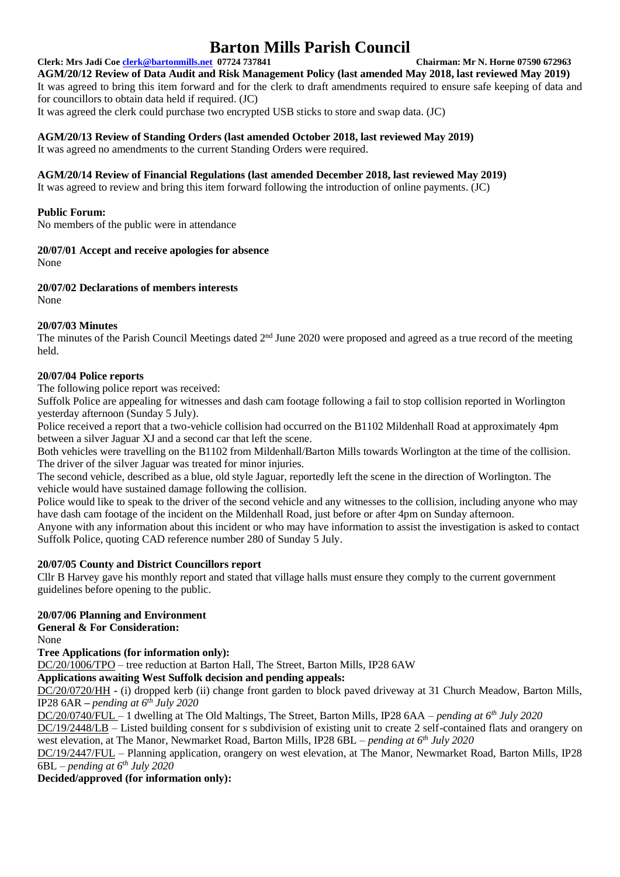**Clerk: Mrs Jadi Coe [clerk@bartonmills.net](mailto:clerk@bartonmills.net) 07724 737841 Chairman: Mr N. Horne 07590 672963 AGM/20/12 Review of Data Audit and Risk Management Policy (last amended May 2018, last reviewed May 2019)** It was agreed to bring this item forward and for the clerk to draft amendments required to ensure safe keeping of data and for councillors to obtain data held if required. (JC) It was agreed the clerk could purchase two encrypted USB sticks to store and swap data. (JC)

### **AGM/20/13 Review of Standing Orders (last amended October 2018, last reviewed May 2019)**

It was agreed no amendments to the current Standing Orders were required.

#### **AGM/20/14 Review of Financial Regulations (last amended December 2018, last reviewed May 2019)**

It was agreed to review and bring this item forward following the introduction of online payments. (JC)

#### **Public Forum:**

No members of the public were in attendance

### **20/07/01 Accept and receive apologies for absence**

None

#### **20/07/02 Declarations of members interests**

None

#### **20/07/03 Minutes**

The minutes of the Parish Council Meetings dated 2<sup>nd</sup> June 2020 were proposed and agreed as a true record of the meeting held.

### **20/07/04 Police reports**

The following police report was received:

Suffolk Police are appealing for witnesses and dash cam footage following a fail to stop collision reported in Worlington yesterday afternoon (Sunday 5 July).

Police received a report that a two-vehicle collision had occurred on the B1102 Mildenhall Road at approximately 4pm between a silver Jaguar XJ and a second car that left the scene.

Both vehicles were travelling on the B1102 from Mildenhall/Barton Mills towards Worlington at the time of the collision. The driver of the silver Jaguar was treated for minor injuries.

The second vehicle, described as a blue, old style Jaguar, reportedly left the scene in the direction of Worlington. The vehicle would have sustained damage following the collision.

Police would like to speak to the driver of the second vehicle and any witnesses to the collision, including anyone who may have dash cam footage of the incident on the Mildenhall Road, just before or after 4pm on Sunday afternoon.

Anyone with any information about this incident or who may have information to assist the investigation is asked to contact Suffolk Police, quoting CAD reference number 280 of Sunday 5 July.

#### **20/07/05 County and District Councillors report**

Cllr B Harvey gave his monthly report and stated that village halls must ensure they comply to the current government guidelines before opening to the public.

## **20/07/06 Planning and Environment**

**General & For Consideration:**

None

**Tree Applications (for information only):**

DC/20/1006/TPO – tree reduction at Barton Hall, The Street, Barton Mills, IP28 6AW

**Applications awaiting West Suffolk decision and pending appeals:**

DC/20/0720/HH **-** (i) dropped kerb (ii) change front garden to block paved driveway at 31 Church Meadow, Barton Mills, IP28 6AR *– pending at 6 th July 2020*

DC/20/0740/FUL – 1 dwelling at The Old Maltings, The Street, Barton Mills, IP28 6AA – *pending at 6 th July 2020*

DC/19/2448/LB – Listed building consent for s subdivision of existing unit to create 2 self-contained flats and orangery on west elevation, at The Manor, Newmarket Road, Barton Mills, IP28 6BL – *pending at 6 th July 2020*

DC/19/2447/FUL – Planning application, orangery on west elevation, at The Manor, Newmarket Road, Barton Mills, IP28 6BL *– pending at 6 th July 2020*

**Decided/approved (for information only):**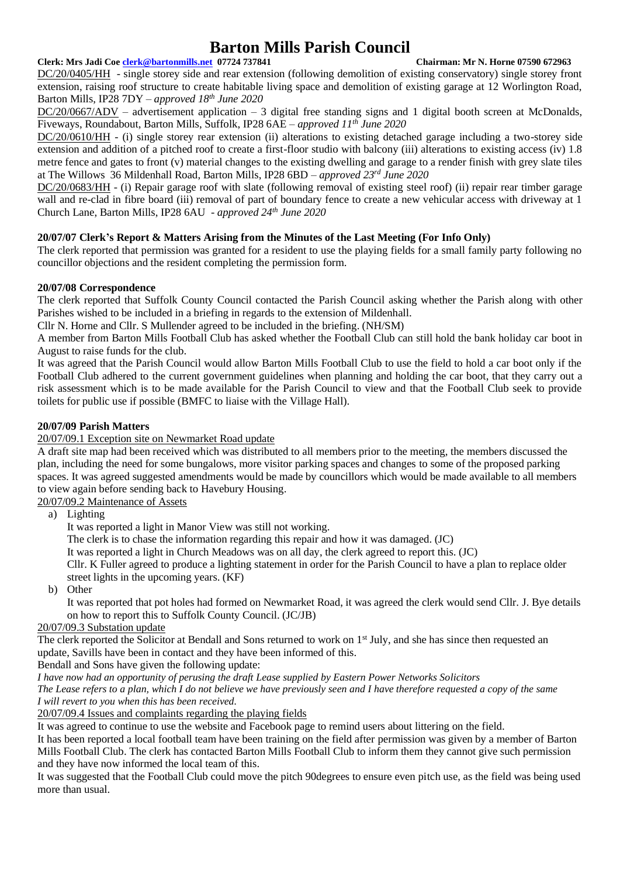#### **Clerk: Mrs Jadi Coe [clerk@bartonmills.net](mailto:clerk@bartonmills.net) 07724 737841 Chairman: Mr N. Horne 07590 672963**

DC/20/0405/HH - single storey side and rear extension (following demolition of existing conservatory) single storey front extension, raising roof structure to create habitable living space and demolition of existing garage at 12 Worlington Road, Barton Mills, IP28 7DY *– approved 18th June 2020*

DC/20/0667/ADV – advertisement application – 3 digital free standing signs and 1 digital booth screen at McDonalds, Fiveways, Roundabout, Barton Mills, Suffolk, IP28 6AE – *approved 11th June 2020*

DC/20/0610/HH - (i) single storey rear extension (ii) alterations to existing detached garage including a two-storey side extension and addition of a pitched roof to create a first-floor studio with balcony (iii) alterations to existing access (iv) 1.8 metre fence and gates to front (v) material changes to the existing dwelling and garage to a render finish with grey slate tiles at The Willows 36 Mildenhall Road, Barton Mills, IP28 6BD – *approved 23rd June 2020*

DC/20/0683/HH - (i) Repair garage roof with slate (following removal of existing steel roof) (ii) repair rear timber garage wall and re-clad in fibre board (iii) removal of part of boundary fence to create a new vehicular access with driveway at 1 Church Lane, Barton Mills, IP28 6AU *- approved 24th June 2020*

#### **20/07/07 Clerk's Report & Matters Arising from the Minutes of the Last Meeting (For Info Only)**

The clerk reported that permission was granted for a resident to use the playing fields for a small family party following no councillor objections and the resident completing the permission form.

#### **20/07/08 Correspondence**

The clerk reported that Suffolk County Council contacted the Parish Council asking whether the Parish along with other Parishes wished to be included in a briefing in regards to the extension of Mildenhall.

Cllr N. Horne and Cllr. S Mullender agreed to be included in the briefing. (NH/SM)

A member from Barton Mills Football Club has asked whether the Football Club can still hold the bank holiday car boot in August to raise funds for the club.

It was agreed that the Parish Council would allow Barton Mills Football Club to use the field to hold a car boot only if the Football Club adhered to the current government guidelines when planning and holding the car boot, that they carry out a risk assessment which is to be made available for the Parish Council to view and that the Football Club seek to provide toilets for public use if possible (BMFC to liaise with the Village Hall).

#### **20/07/09 Parish Matters**

#### 20/07/09.1 Exception site on Newmarket Road update

A draft site map had been received which was distributed to all members prior to the meeting, the members discussed the plan, including the need for some bungalows, more visitor parking spaces and changes to some of the proposed parking spaces. It was agreed suggested amendments would be made by councillors which would be made available to all members to view again before sending back to Havebury Housing.

20/07/09.2 Maintenance of Assets

a) Lighting

It was reported a light in Manor View was still not working.

The clerk is to chase the information regarding this repair and how it was damaged. (JC)

It was reported a light in Church Meadows was on all day, the clerk agreed to report this. (JC)

Cllr. K Fuller agreed to produce a lighting statement in order for the Parish Council to have a plan to replace older street lights in the upcoming years. (KF)

b) Other

It was reported that pot holes had formed on Newmarket Road, it was agreed the clerk would send Cllr. J. Bye details on how to report this to Suffolk County Council. (JC/JB)

#### 20/07/09.3 Substation update

The clerk reported the Solicitor at Bendall and Sons returned to work on  $1<sup>st</sup>$  July, and she has since then requested an update, Savills have been in contact and they have been informed of this.

Bendall and Sons have given the following update:

*I have now had an opportunity of perusing the draft Lease supplied by Eastern Power Networks Solicitors The Lease refers to a plan, which I do not believe we have previously seen and I have therefore requested a copy of the same I will revert to you when this has been received.*

20/07/09.4 Issues and complaints regarding the playing fields

It was agreed to continue to use the website and Facebook page to remind users about littering on the field.

It has been reported a local football team have been training on the field after permission was given by a member of Barton Mills Football Club. The clerk has contacted Barton Mills Football Club to inform them they cannot give such permission and they have now informed the local team of this.

It was suggested that the Football Club could move the pitch 90degrees to ensure even pitch use, as the field was being used more than usual.